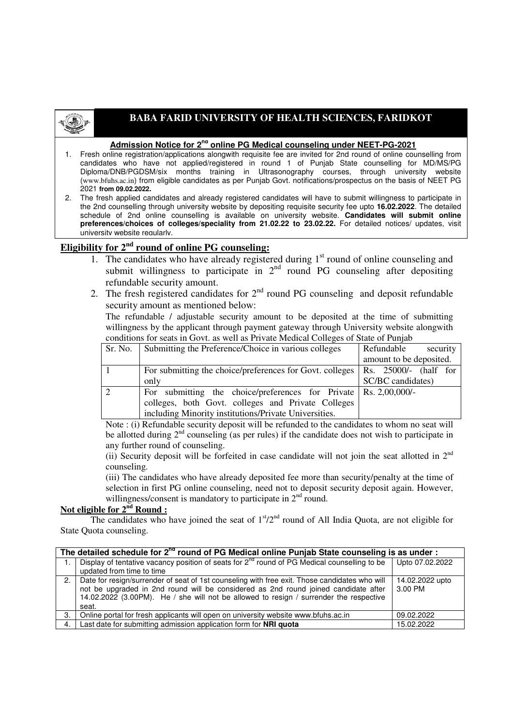

## **BABA FARID UNIVERSITY OF HEALTH SCIENCES, FARIDKOT**

## **Admission Notice for 2nd online PG Medical counseling under NEET-PG-2021**

- 1. Fresh online registration/applications alongwith requisite fee are invited for 2nd round of online counselling from candidates who have not applied/registered in round 1 of Punjab State counselling for MD/MS/PG Diploma/DNB/PGDSM/six months training in Ultrasonography courses, through university website (www.bfuhs.ac.in) from eligible candidates as per Punjab Govt. notifications/prospectus on the basis of NEET PG 2021 **from 09.02.2022.**
- 2. The fresh applied candidates and already registered candidates will have to submit willingness to participate in the 2nd counselling through university website by depositing requisite security fee upto **16.02.2022**. The detailed schedule of 2nd online counselling is available on university website. **Candidates will submit online preferences/choices of colleges/speciality from 21.02.22 to 23.02.22.** For detailed notices/ updates, visit university website regularly.

## **Eligibility for 2nd round of online PG counseling:**

- 1. The candidates who have already registered during  $1<sup>st</sup>$  round of online counseling and submit willingness to participate in  $2<sup>nd</sup>$  round PG counseling after depositing refundable security amount.
- 2. The fresh registered candidates for  $2<sup>nd</sup>$  round PG counseling and deposit refundable security amount as mentioned below:

The refundable / adjustable security amount to be deposited at the time of submitting willingness by the applicant through payment gateway through University website alongwith conditions for seats in Govt. as well as Private Medical Colleges of State of Punjab

| Sr. No. | Submitting the Preference/Choice in various colleges                             | Refundable<br>security  |  |
|---------|----------------------------------------------------------------------------------|-------------------------|--|
|         |                                                                                  | amount to be deposited. |  |
|         | For submitting the choice/preferences for Govt. colleges   Rs. 25000/- (half for |                         |  |
|         | only                                                                             | SC/BC candidates)       |  |
|         | For submitting the choice/preferences for Private $\vert$ Rs. 2,00,000/-         |                         |  |
|         | colleges, both Govt. colleges and Private Colleges                               |                         |  |
|         | including Minority institutions/Private Universities.                            |                         |  |

Note : (i) Refundable security deposit will be refunded to the candidates to whom no seat will be allotted during  $2<sup>nd</sup>$  counseling (as per rules) if the candidate does not wish to participate in any further round of counseling.

(ii) Security deposit will be forfeited in case candidate will not join the seat allotted in  $2<sup>nd</sup>$ counseling.

(iii) The candidates who have already deposited fee more than security/penalty at the time of selection in first PG online counseling, need not to deposit security deposit again. However, willingness/consent is mandatory to participate in  $2<sup>nd</sup>$  round.

## Not eligible for  $2^{nd}$  Round :

The candidates who have joined the seat of  $1<sup>st</sup>/2<sup>nd</sup>$  round of All India Quota, are not eligible for State Quota counseling.

| The detailed schedule for 2 <sup>nd</sup> round of PG Medical online Punjab State counseling is as under : |                                                                                                                                                                                                                                                                                         |                            |  |
|------------------------------------------------------------------------------------------------------------|-----------------------------------------------------------------------------------------------------------------------------------------------------------------------------------------------------------------------------------------------------------------------------------------|----------------------------|--|
| 1.                                                                                                         | Display of tentative vacancy position of seats for $2^{nd}$ round of PG Medical counselling to be                                                                                                                                                                                       | Upto 07.02.2022            |  |
|                                                                                                            | updated from time to time                                                                                                                                                                                                                                                               |                            |  |
| 2.                                                                                                         | Date for resign/surrender of seat of 1st counseling with free exit. Those candidates who will<br>not be upgraded in 2nd round will be considered as 2nd round joined candidate after<br>14.02.2022 (3.00PM). He / she will not be allowed to resign / surrender the respective<br>seat. | 14.02.2022 upto<br>3.00 PM |  |
| 3.                                                                                                         | Online portal for fresh applicants will open on university website www.bfuhs.ac.in                                                                                                                                                                                                      | 09.02.2022                 |  |
| 4.                                                                                                         | Last date for submitting admission application form for NRI quota                                                                                                                                                                                                                       | 15.02.2022                 |  |